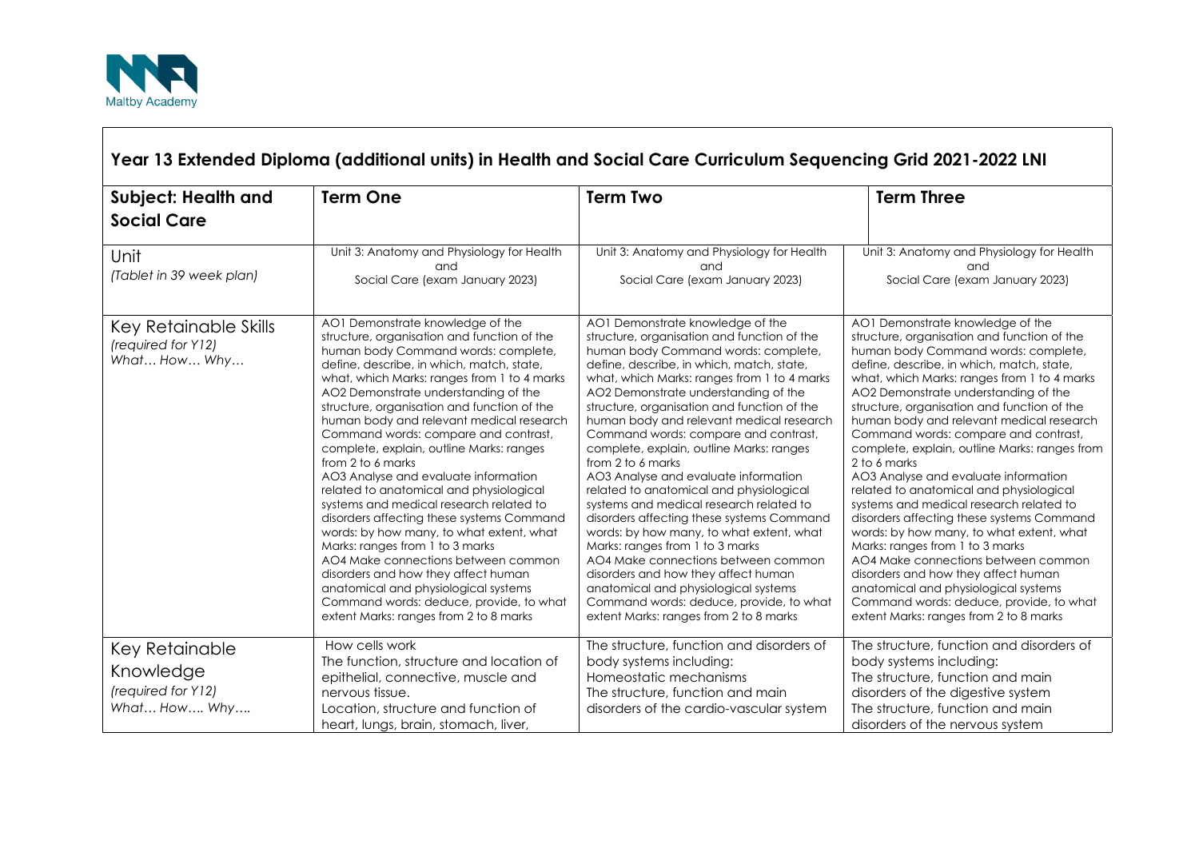

## **Year 13 Extended Diploma (additional units) in Health and Social Care Curriculum Sequencing Grid 2021-2022 LNI Subject: Health and Social Care Term One Term Two Term Three** Unit *(Tablet in 39 week plan)* Unit 3: Anatomy and Physiology for Health and Social Care (exam January 2023) Unit 3: Anatomy and Physiology for Health and Social Care (exam January 2023) Unit 3: Anatomy and Physiology for Health and Social Care (exam January 2023) Key Retainable Skills *(required for Y12) What… How… Why…* AO1 Demonstrate knowledge of the structure, organisation and function of the human body Command words: complete, define, describe, in which, match, state, what, which Marks: ranges from 1 to 4 marks AO2 Demonstrate understanding of the structure, organisation and function of the human body and relevant medical research Command words: compare and contrast, complete, explain, outline Marks: ranges from 2 to 6 marks AO3 Analyse and evaluate information related to anatomical and physiological systems and medical research related to disorders affecting these systems Command words: by how many, to what extent, what Marks: ranges from 1 to 3 marks AO4 Make connections between common disorders and how they affect human anatomical and physiological systems Command words: deduce, provide, to what extent Marks: ranges from 2 to 8 marks AO1 Demonstrate knowledge of the structure, organisation and function of the human body Command words: complete, define, describe, in which, match, state, what, which Marks: ranges from 1 to 4 marks AO2 Demonstrate understanding of the structure, organisation and function of the human body and relevant medical research Command words: compare and contrast, complete, explain, outline Marks: ranges from 2 to 6 marks AO3 Analyse and evaluate information related to anatomical and physiological systems and medical research related to disorders affecting these systems Command words: by how many, to what extent, what Marks: ranges from 1 to 3 marks AO4 Make connections between common disorders and how they affect human anatomical and physiological systems Command words: deduce, provide, to what extent Marks: ranges from 2 to 8 marks AO1 Demonstrate knowledge of the structure, organisation and function of the human body Command words: complete, define, describe, in which, match, state, what, which Marks: ranges from 1 to 4 marks AO2 Demonstrate understanding of the structure, organisation and function of the human body and relevant medical research Command words: compare and contrast, complete, explain, outline Marks: ranges from 2 to 6 marks AO3 Analyse and evaluate information related to anatomical and physiological systems and medical research related to disorders affecting these systems Command words: by how many, to what extent, what Marks: ranges from 1 to 3 marks AO4 Make connections between common disorders and how they affect human anatomical and physiological systems Command words: deduce, provide, to what extent Marks: ranges from 2 to 8 marks Key Retainable Knowledge *(required for Y12) What… How…. Why….* How cells work The function, structure and location of epithelial, connective, muscle and nervous tissue. Location, structure and function of heart, lungs, brain, stomach, liver, The structure, function and disorders of body systems including: Homeostatic mechanisms The structure, function and main disorders of the cardio-vascular system The structure, function and disorders of body systems including: The structure, function and main disorders of the digestive system The structure, function and main disorders of the nervous system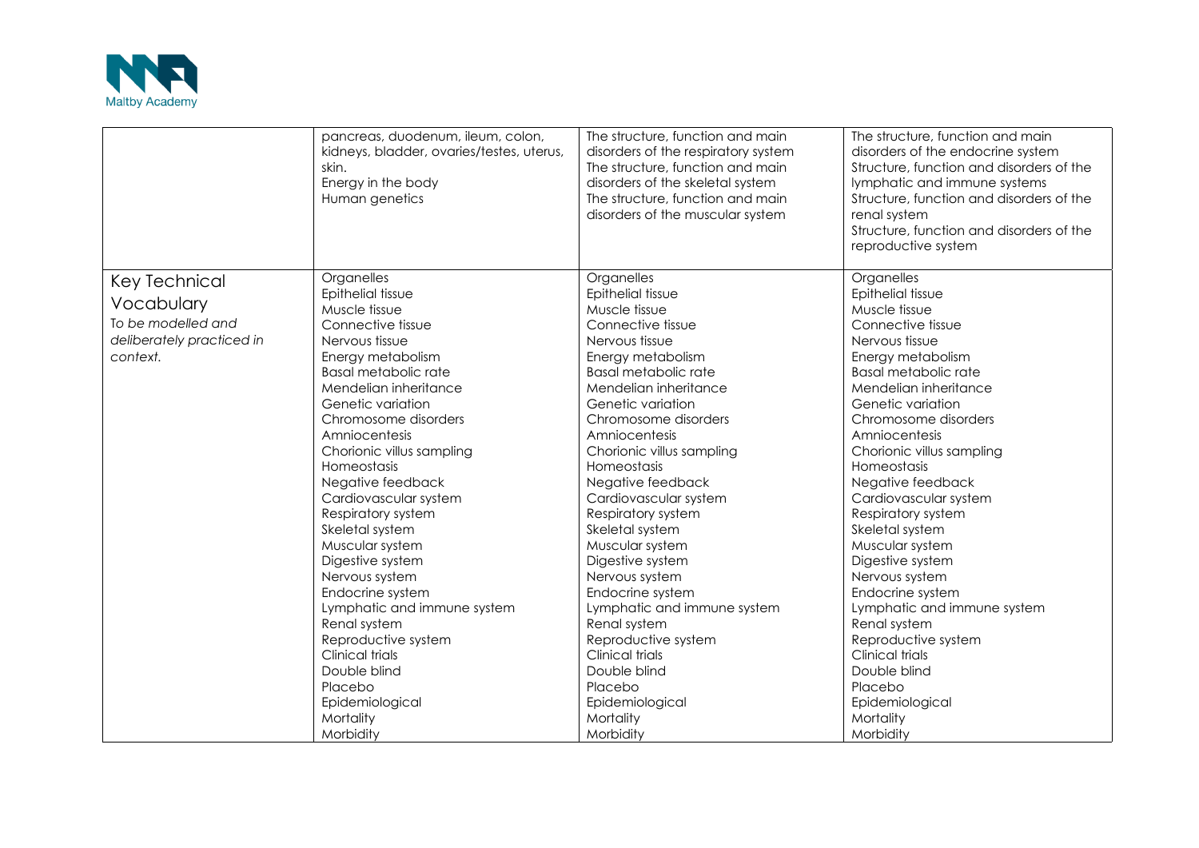

|                           | pancreas, duodenum, ileum, colon,<br>kidneys, bladder, ovaries/testes, uterus,<br>skin.<br>Energy in the body<br>Human genetics | The structure, function and main<br>disorders of the respiratory system<br>The structure, function and main<br>disorders of the skeletal system<br>The structure, function and main<br>disorders of the muscular system | The structure, function and main<br>disorders of the endocrine system<br>Structure, function and disorders of the<br>lymphatic and immune systems<br>Structure, function and disorders of the<br>renal system<br>Structure, function and disorders of the<br>reproductive system |
|---------------------------|---------------------------------------------------------------------------------------------------------------------------------|-------------------------------------------------------------------------------------------------------------------------------------------------------------------------------------------------------------------------|----------------------------------------------------------------------------------------------------------------------------------------------------------------------------------------------------------------------------------------------------------------------------------|
| <b>Key Technical</b>      | Organelles                                                                                                                      | Organelles                                                                                                                                                                                                              | Organelles                                                                                                                                                                                                                                                                       |
|                           | Epithelial tissue                                                                                                               | Epithelial tissue                                                                                                                                                                                                       | Epithelial tissue                                                                                                                                                                                                                                                                |
| Vocabulary                | Muscle tissue                                                                                                                   | Muscle tissue                                                                                                                                                                                                           | Muscle tissue                                                                                                                                                                                                                                                                    |
| To be modelled and        | Connective tissue                                                                                                               | Connective tissue                                                                                                                                                                                                       | Connective tissue                                                                                                                                                                                                                                                                |
| deliberately practiced in | Nervous tissue                                                                                                                  | Nervous tissue                                                                                                                                                                                                          | Nervous tissue                                                                                                                                                                                                                                                                   |
| context.                  | Energy metabolism                                                                                                               | Energy metabolism                                                                                                                                                                                                       | Energy metabolism                                                                                                                                                                                                                                                                |
|                           | <b>Basal metabolic rate</b>                                                                                                     | <b>Basal metabolic rate</b>                                                                                                                                                                                             | <b>Basal metabolic rate</b>                                                                                                                                                                                                                                                      |
|                           | Mendelian inheritance                                                                                                           | Mendelian inheritance                                                                                                                                                                                                   | Mendelian inheritance                                                                                                                                                                                                                                                            |
|                           | Genetic variation                                                                                                               | Genetic variation                                                                                                                                                                                                       | Genetic variation                                                                                                                                                                                                                                                                |
|                           | Chromosome disorders                                                                                                            | Chromosome disorders                                                                                                                                                                                                    | Chromosome disorders                                                                                                                                                                                                                                                             |
|                           | Amniocentesis                                                                                                                   | Amniocentesis                                                                                                                                                                                                           | Amniocentesis                                                                                                                                                                                                                                                                    |
|                           | Chorionic villus sampling                                                                                                       | Chorionic villus sampling                                                                                                                                                                                               | Chorionic villus sampling                                                                                                                                                                                                                                                        |
|                           | Homeostasis                                                                                                                     | Homeostasis                                                                                                                                                                                                             | Homeostasis                                                                                                                                                                                                                                                                      |
|                           | Negative feedback                                                                                                               | Negative feedback                                                                                                                                                                                                       | Negative feedback                                                                                                                                                                                                                                                                |
|                           | Cardiovascular system                                                                                                           | Cardiovascular system                                                                                                                                                                                                   | Cardiovascular system                                                                                                                                                                                                                                                            |
|                           | Respiratory system                                                                                                              | Respiratory system                                                                                                                                                                                                      | Respiratory system                                                                                                                                                                                                                                                               |
|                           | Skeletal system                                                                                                                 | Skeletal system                                                                                                                                                                                                         | Skeletal system                                                                                                                                                                                                                                                                  |
|                           | Muscular system                                                                                                                 | Muscular system                                                                                                                                                                                                         | Muscular system                                                                                                                                                                                                                                                                  |
|                           | Digestive system                                                                                                                | Digestive system                                                                                                                                                                                                        | Digestive system                                                                                                                                                                                                                                                                 |
|                           | Nervous system                                                                                                                  | Nervous system                                                                                                                                                                                                          | Nervous system                                                                                                                                                                                                                                                                   |
|                           | Endocrine system                                                                                                                | Endocrine system                                                                                                                                                                                                        | Endocrine system                                                                                                                                                                                                                                                                 |
|                           | Lymphatic and immune system                                                                                                     | Lymphatic and immune system                                                                                                                                                                                             | Lymphatic and immune system                                                                                                                                                                                                                                                      |
|                           | Renal system                                                                                                                    | Renal system                                                                                                                                                                                                            | Renal system                                                                                                                                                                                                                                                                     |
|                           | Reproductive system                                                                                                             | Reproductive system                                                                                                                                                                                                     | Reproductive system                                                                                                                                                                                                                                                              |
|                           | Clinical trials                                                                                                                 | <b>Clinical trials</b>                                                                                                                                                                                                  | <b>Clinical trials</b>                                                                                                                                                                                                                                                           |
|                           | Double blind                                                                                                                    | Double blind                                                                                                                                                                                                            | Double blind                                                                                                                                                                                                                                                                     |
|                           | Placebo                                                                                                                         | Placebo                                                                                                                                                                                                                 | Placebo                                                                                                                                                                                                                                                                          |
|                           | Epidemiological                                                                                                                 | Epidemiological                                                                                                                                                                                                         | Epidemiological                                                                                                                                                                                                                                                                  |
|                           | Mortality                                                                                                                       | Mortality                                                                                                                                                                                                               | Mortality                                                                                                                                                                                                                                                                        |
|                           | Morbidity                                                                                                                       | Morbidity                                                                                                                                                                                                               | Morbidity                                                                                                                                                                                                                                                                        |